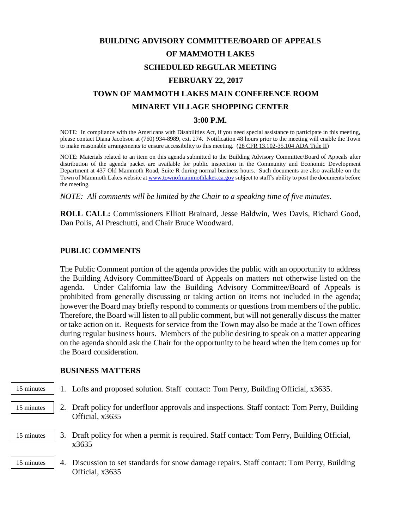# **BUILDING ADVISORY COMMITTEE/BOARD OF APPEALS OF MAMMOTH LAKES SCHEDULED REGULAR MEETING FEBRUARY 22, 2017 TOWN OF MAMMOTH LAKES MAIN CONFERENCE ROOM MINARET VILLAGE SHOPPING CENTER 3:00 P.M.**

NOTE: In compliance with the Americans with Disabilities Act, if you need special assistance to participate in this meeting, please contact Diana Jacobson at (760) 934-8989, ext. 274. Notification 48 hours prior to the meeting will enable the Town to make reasonable arrangements to ensure accessibility to this meeting. (28 CFR 13.102-35.104 ADA Title II)

NOTE: Materials related to an item on this agenda submitted to the Building Advisory Committee/Board of Appeals after distribution of the agenda packet are available for public inspection in the Community and Economic Development Department at 437 Old Mammoth Road, Suite R during normal business hours. Such documents are also available on the Town of Mammoth Lakes website a[t www.townofmammothlakes.ca.gov](http://www.townofmammothlakes.ca.gov/) subject to staff's ability to post the documents before the meeting.

*NOTE: All comments will be limited by the Chair to a speaking time of five minutes.*

**ROLL CALL:** Commissioners Elliott Brainard, Jesse Baldwin, Wes Davis, Richard Good, Dan Polis, Al Preschutti, and Chair Bruce Woodward.

## **PUBLIC COMMENTS**

The Public Comment portion of the agenda provides the public with an opportunity to address the Building Advisory Committee/Board of Appeals on matters not otherwise listed on the agenda. Under California law the Building Advisory Committee/Board of Appeals is prohibited from generally discussing or taking action on items not included in the agenda; however the Board may briefly respond to comments or questions from members of the public. Therefore, the Board will listen to all public comment, but will not generally discuss the matter or take action on it. Requests for service from the Town may also be made at the Town offices during regular business hours. Members of the public desiring to speak on a matter appearing on the agenda should ask the Chair for the opportunity to be heard when the item comes up for the Board consideration.

#### **BUSINESS MATTERS**

- 1. Lofts and proposed solution. Staff contact: Tom Perry, Building Official, x3635. 15 minutes
- 2. Draft policy for underfloor approvals and inspections. Staff contact: Tom Perry, Building Official, x3635 15 minutes
- 3. Draft policy for when a permit is required. Staff contact: Tom Perry, Building Official, x3635 15 minutes
- 4. Discussion to set standards for snow damage repairs. Staff contact: Tom Perry, Building Official, x3635 15 minutes